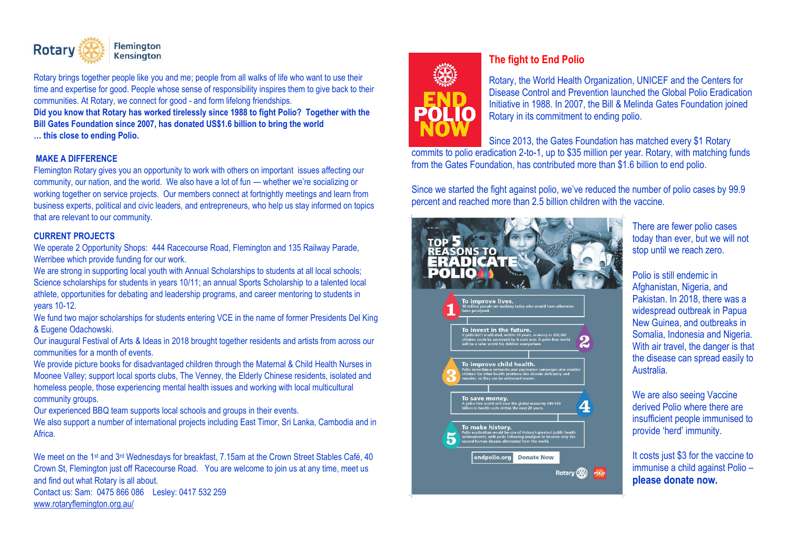

Rotary brings together people like you and me; people from all walks of life who want to use their time and expertise for good. People whose sense of responsibility inspires them to give back to their communities. At Rotary, we connect for good - and form lifelong friendships.

**Did you know that Rotary has worked tirelessly since 1988 to fight Polio? Together with the Bill Gates Foundation since 2007, has donated US\$1.6 billion to bring the world** 

**… this close to ending Polio.** 

## **MAKE A DIFFERENCE**

Flemington Rotary gives you an opportunity to work with others on important issues affecting our community, our nation, and the world. We also have a lot of fun — whether we're socializing or working together on service projects. Our members connect at fortnightly meetings and learn from business experts, political and civic leaders, and entrepreneurs, who help us stay informed on topics that are relevant to our community.

## **CURRENT PROJECTS**

We operate 2 Opportunity Shops: 444 Racecourse Road, Flemington and 135 Railway Parade, Werribee which provide funding for our work.

We are strong in supporting local youth with Annual Scholarships to students at all local schools; Science scholarships for students in years 10/11; an annual Sports Scholarship to a talented local athlete, opportunities for debating and leadership programs, and career mentoring to students in years 10-12.

We fund two major scholarships for students entering VCE in the name of former Presidents Del King & Eugene Odachowski.

Our inaugural Festival of Arts & Ideas in 2018 brought together residents and artists from across our communities for a month of events.

We provide picture books for disadvantaged children through the Maternal & Child Health Nurses in Moonee Valley; support local sports clubs, The Venney, the Elderly Chinese residents, isolated and homeless people, those experiencing mental health issues and working with local multicultural community groups.

Our experienced BBQ team supports local schools and groups in their events.

We also support a number of international projects including East Timor, Sri Lanka, Cambodia and in Africa.

We meet on the 1<sup>st</sup> and 3<sup>rd</sup> Wednesdays for breakfast, 7.15am at the Crown Street Stables Café, 40 Crown St, Flemington just off Racecourse Road. You are welcome to join us at any time, meet us and find out what Rotary is all about.

Contact us: Sam: 0475 866 086Lesley: 0417 532 259 [www.rotaryflemington.org.au/](http://www.rotaryflemington.org.au/) 



## **The fight to End Polio**

Rotary, the World Health Organization, UNICEF and the Centers for Disease Control and Prevention launched the Global Polio Eradication Initiative in 1988. In 2007, the Bill & Melinda Gates Foundation joined Rotary in its commitment to ending polio.

Since 2013, the Gates Foundation has matched every \$1 Rotary commits to polio eradication 2-to-1, up to \$35 million per year. Rotary, with matching funds from the Gates Foundation, has contributed more than \$1.6 billion to end polio.

Since we started the fight against polio, we've reduced the number of polio cases by 99.9 percent and reached more than 2.5 billion children with the vaccine.



There are fewer polio cases today than ever, but we will not stop until we reach zero.

Polio is still endemic in Afghanistan, Nigeria, and Pakistan. In 2018, there was a widespread outbreak in Papua New Guinea, and outbreaks in Somalia, Indonesia and Nigeria. With air travel, the danger is that the disease can spread easily to Australia.

We are also seeing Vaccine derived Polio where there are insufficient people immunised to provide 'herd' immunity.

It costs just \$3 for the vaccine to immunise a child against Polio – **please donate now.**